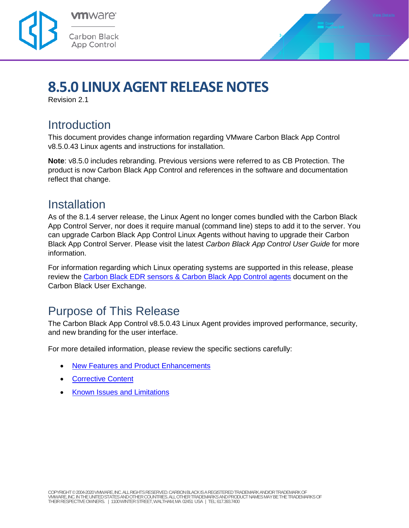



# **8.5.0 LINUX AGENT RELEASE NOTES**

Revision 2.1

## **Introduction**

This document provides change information regarding VMware Carbon Black App Control v8.5.0.43 Linux agents and instructions for installation.

**Note**: v8.5.0 includes rebranding. Previous versions were referred to as CB Protection. The product is now Carbon Black App Control and references in the software and documentation reflect that change.

### Installation

As of the 8.1.4 server release, the Linux Agent no longer comes bundled with the Carbon Black App Control Server, nor does it require manual (command line) steps to add it to the server. You can upgrade Carbon Black App Control Linux Agents without having to upgrade their Carbon Black App Control Server. Please visit the latest *Carbon Black App Control User Guide* for more information.

For information regarding which Linux operating systems are supported in this release, please review the [Carbon Black EDR sensors & Carbon Black App Control agents](https://community.carbonblack.com/t5/Documentation-Downloads/CB-Response-sensors-amp-CB-Protection-agents/ta-p/33041) document on the Carbon Black User Exchange.

# Purpose of This Release

The Carbon Black App Control v8.5.0.43 Linux Agent provides improved performance, security, and new branding for the user interface.

For more detailed information, please review the specific sections carefully:

- [New Features and Product Enhancements](#page-1-0)
- [Corrective Content](#page-1-1)
- [Known Issues and Limitations](#page-2-0)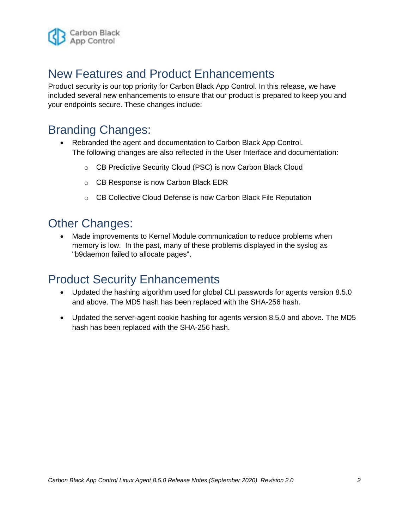

# <span id="page-1-0"></span>New Features and Product Enhancements

Product security is our top priority for Carbon Black App Control. In this release, we have included several new enhancements to ensure that our product is prepared to keep you and your endpoints secure. These changes include:

### Branding Changes:

- Rebranded the agent and documentation to Carbon Black App Control. The following changes are also reflected in the User Interface and documentation:
	- o CB Predictive Security Cloud (PSC) is now Carbon Black Cloud
	- o CB Response is now Carbon Black EDR
	- o CB Collective Cloud Defense is now Carbon Black File Reputation

#### Other Changes:

 Made improvements to Kernel Module communication to reduce problems when memory is low. In the past, many of these problems displayed in the syslog as "b9daemon failed to allocate pages".

### Product Security Enhancements

- Updated the hashing algorithm used for global CLI passwords for agents version 8.5.0 and above. The MD5 hash has been replaced with the SHA-256 hash.
- <span id="page-1-1"></span> Updated the server-agent cookie hashing for agents version 8.5.0 and above. The MD5 hash has been replaced with the SHA-256 hash.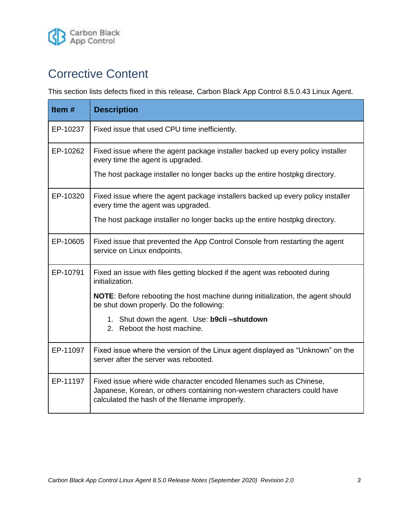

## Corrective Content

This section lists defects fixed in this release, Carbon Black App Control 8.5.0.43 Linux Agent.

<span id="page-2-0"></span>

| Item $#$ | <b>Description</b>                                                                                                                                                                                 |  |
|----------|----------------------------------------------------------------------------------------------------------------------------------------------------------------------------------------------------|--|
| EP-10237 | Fixed issue that used CPU time inefficiently.                                                                                                                                                      |  |
| EP-10262 | Fixed issue where the agent package installer backed up every policy installer<br>every time the agent is upgraded.                                                                                |  |
|          | The host package installer no longer backs up the entire hostpkg directory.                                                                                                                        |  |
| EP-10320 | Fixed issue where the agent package installers backed up every policy installer<br>every time the agent was upgraded.                                                                              |  |
|          | The host package installer no longer backs up the entire hostpkg directory.                                                                                                                        |  |
| EP-10605 | Fixed issue that prevented the App Control Console from restarting the agent<br>service on Linux endpoints.                                                                                        |  |
| EP-10791 | Fixed an issue with files getting blocked if the agent was rebooted during<br>initialization.                                                                                                      |  |
|          | NOTE: Before rebooting the host machine during initialization, the agent should<br>be shut down properly. Do the following:                                                                        |  |
|          | 1. Shut down the agent. Use: b9cli-shutdown<br>2. Reboot the host machine.                                                                                                                         |  |
| EP-11097 | Fixed issue where the version of the Linux agent displayed as "Unknown" on the<br>server after the server was rebooted.                                                                            |  |
| EP-11197 | Fixed issue where wide character encoded filenames such as Chinese,<br>Japanese, Korean, or others containing non-western characters could have<br>calculated the hash of the filename improperly. |  |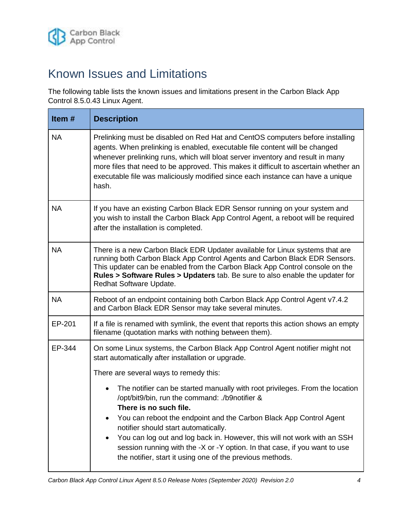

## Known Issues and Limitations

The following table lists the known issues and limitations present in the Carbon Black App Control 8.5.0.43 Linux Agent.

| Item#     | <b>Description</b>                                                                                                                                                                                                                                                                                                                                                                                                                |  |
|-----------|-----------------------------------------------------------------------------------------------------------------------------------------------------------------------------------------------------------------------------------------------------------------------------------------------------------------------------------------------------------------------------------------------------------------------------------|--|
| <b>NA</b> | Prelinking must be disabled on Red Hat and CentOS computers before installing<br>agents. When prelinking is enabled, executable file content will be changed<br>whenever prelinking runs, which will bloat server inventory and result in many<br>more files that need to be approved. This makes it difficult to ascertain whether an<br>executable file was maliciously modified since each instance can have a unique<br>hash. |  |
| <b>NA</b> | If you have an existing Carbon Black EDR Sensor running on your system and<br>you wish to install the Carbon Black App Control Agent, a reboot will be required<br>after the installation is completed.                                                                                                                                                                                                                           |  |
| <b>NA</b> | There is a new Carbon Black EDR Updater available for Linux systems that are<br>running both Carbon Black App Control Agents and Carbon Black EDR Sensors.<br>This updater can be enabled from the Carbon Black App Control console on the<br>Rules > Software Rules > Updaters tab. Be sure to also enable the updater for<br>Redhat Software Update.                                                                            |  |
| <b>NA</b> | Reboot of an endpoint containing both Carbon Black App Control Agent v7.4.2<br>and Carbon Black EDR Sensor may take several minutes.                                                                                                                                                                                                                                                                                              |  |
| EP-201    | If a file is renamed with symlink, the event that reports this action shows an empty<br>filename (quotation marks with nothing between them).                                                                                                                                                                                                                                                                                     |  |
| EP-344    | On some Linux systems, the Carbon Black App Control Agent notifier might not<br>start automatically after installation or upgrade.                                                                                                                                                                                                                                                                                                |  |
|           | There are several ways to remedy this:                                                                                                                                                                                                                                                                                                                                                                                            |  |
|           | The notifier can be started manually with root privileges. From the location<br>$\bullet$<br>/opt/bit9/bin, run the command: ./b9notifier &<br>There is no such file.                                                                                                                                                                                                                                                             |  |
|           | You can reboot the endpoint and the Carbon Black App Control Agent<br>notifier should start automatically.<br>You can log out and log back in. However, this will not work with an SSH<br>session running with the -X or -Y option. In that case, if you want to use<br>the notifier, start it using one of the previous methods.                                                                                                 |  |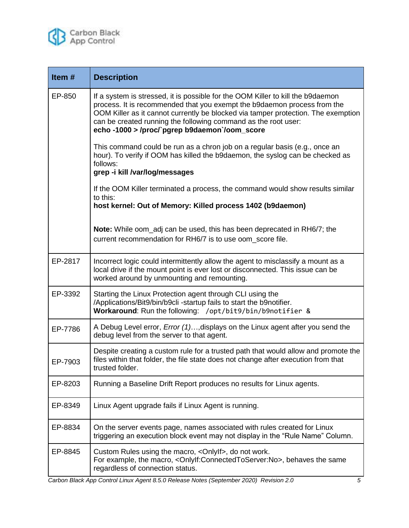

| Item#   | <b>Description</b>                                                                                                                                                                                                                                                                                                                                                 |
|---------|--------------------------------------------------------------------------------------------------------------------------------------------------------------------------------------------------------------------------------------------------------------------------------------------------------------------------------------------------------------------|
| EP-850  | If a system is stressed, it is possible for the OOM Killer to kill the b9daemon<br>process. It is recommended that you exempt the b9daemon process from the<br>OOM Killer as it cannot currently be blocked via tamper protection. The exemption<br>can be created running the following command as the root user:<br>echo-1000 > /proc/ pgrep b9daemon'/oom_score |
|         | This command could be run as a chron job on a regular basis (e.g., once an<br>hour). To verify if OOM has killed the b9daemon, the syslog can be checked as<br>follows:<br>grep -i kill /var/log/messages                                                                                                                                                          |
|         | If the OOM Killer terminated a process, the command would show results similar<br>to this:<br>host kernel: Out of Memory: Killed process 1402 (b9daemon)                                                                                                                                                                                                           |
|         | <b>Note:</b> While oom_adj can be used, this has been deprecated in RH6/7; the<br>current recommendation for RH6/7 is to use oom score file.                                                                                                                                                                                                                       |
| EP-2817 | Incorrect logic could intermittently allow the agent to misclassify a mount as a<br>local drive if the mount point is ever lost or disconnected. This issue can be<br>worked around by unmounting and remounting.                                                                                                                                                  |
| EP-3392 | Starting the Linux Protection agent through CLI using the<br>/Applications/Bit9/bin/b9cli-startup fails to start the b9notifier.<br>Workaround: Run the following: /opt/bit9/bin/b9notifier &                                                                                                                                                                      |
| EP-7786 | A Debug Level error, <i>Error (1)</i> , displays on the Linux agent after you send the<br>debug level from the server to that agent.                                                                                                                                                                                                                               |
| EP-7903 | Despite creating a custom rule for a trusted path that would allow and promote the<br>files within that folder, the file state does not change after execution from that<br>trusted folder.                                                                                                                                                                        |
| EP-8203 | Running a Baseline Drift Report produces no results for Linux agents.                                                                                                                                                                                                                                                                                              |
| EP-8349 | Linux Agent upgrade fails if Linux Agent is running.                                                                                                                                                                                                                                                                                                               |
| EP-8834 | On the server events page, names associated with rules created for Linux<br>triggering an execution block event may not display in the "Rule Name" Column.                                                                                                                                                                                                         |
| EP-8845 | Custom Rules using the macro, < Only If >, do not work.<br>For example, the macro, <onlyif:connectedtoserver:no>, behaves the same<br/>regardless of connection status.</onlyif:connectedtoserver:no>                                                                                                                                                              |

*Carbon Black App Control Linux Agent 8.5.0 Release Notes (September 2020) Revision 2.0 5*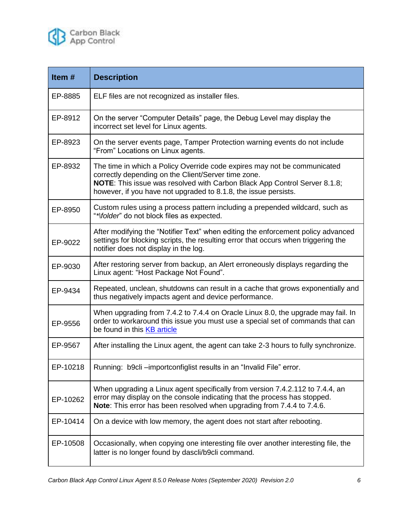

| Item#    | <b>Description</b>                                                                                                                                                                                                                                                                     |  |
|----------|----------------------------------------------------------------------------------------------------------------------------------------------------------------------------------------------------------------------------------------------------------------------------------------|--|
| EP-8885  | ELF files are not recognized as installer files.                                                                                                                                                                                                                                       |  |
| EP-8912  | On the server "Computer Details" page, the Debug Level may display the<br>incorrect set level for Linux agents.                                                                                                                                                                        |  |
| EP-8923  | On the server events page, Tamper Protection warning events do not include<br>"From" Locations on Linux agents.                                                                                                                                                                        |  |
| EP-8932  | The time in which a Policy Override code expires may not be communicated<br>correctly depending on the Client/Server time zone.<br><b>NOTE:</b> This issue was resolved with Carbon Black App Control Server 8.1.8;<br>however, if you have not upgraded to 8.1.8, the issue persists. |  |
| EP-8950  | Custom rules using a process pattern including a prepended wildcard, such as<br>"*\folder" do not block files as expected.                                                                                                                                                             |  |
| EP-9022  | After modifying the "Notifier Text" when editing the enforcement policy advanced<br>settings for blocking scripts, the resulting error that occurs when triggering the<br>notifier does not display in the log.                                                                        |  |
| EP-9030  | After restoring server from backup, an Alert erroneously displays regarding the<br>Linux agent: "Host Package Not Found".                                                                                                                                                              |  |
| EP-9434  | Repeated, unclean, shutdowns can result in a cache that grows exponentially and<br>thus negatively impacts agent and device performance.                                                                                                                                               |  |
| EP-9556  | When upgrading from 7.4.2 to 7.4.4 on Oracle Linux 8.0, the upgrade may fail. In<br>order to workaround this issue you must use a special set of commands that can<br>be found in this KB article                                                                                      |  |
| EP-9567  | After installing the Linux agent, the agent can take 2-3 hours to fully synchronize.                                                                                                                                                                                                   |  |
| EP-10218 | Running: b9cli-importconfiglist results in an "Invalid File" error.                                                                                                                                                                                                                    |  |
| EP-10262 | When upgrading a Linux agent specifically from version 7.4.2.112 to 7.4.4, an<br>error may display on the console indicating that the process has stopped.<br>Note: This error has been resolved when upgrading from 7.4.4 to 7.4.6.                                                   |  |
| EP-10414 | On a device with low memory, the agent does not start after rebooting.                                                                                                                                                                                                                 |  |
| EP-10508 | Occasionally, when copying one interesting file over another interesting file, the<br>latter is no longer found by dascli/b9cli command.                                                                                                                                               |  |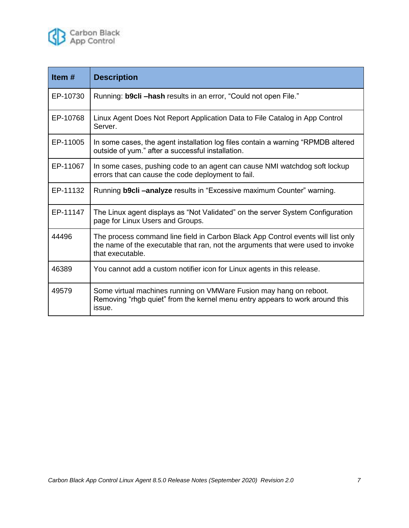

| Item $#$ | <b>Description</b>                                                                                                                                                                      |  |
|----------|-----------------------------------------------------------------------------------------------------------------------------------------------------------------------------------------|--|
| EP-10730 | Running: b9cli -hash results in an error, "Could not open File."                                                                                                                        |  |
| EP-10768 | Linux Agent Does Not Report Application Data to File Catalog in App Control<br>Server.                                                                                                  |  |
| EP-11005 | In some cases, the agent installation log files contain a warning "RPMDB altered"<br>outside of yum." after a successful installation.                                                  |  |
| EP-11067 | In some cases, pushing code to an agent can cause NMI watchdog soft lockup<br>errors that can cause the code deployment to fail.                                                        |  |
| EP-11132 | Running <b>b9cli-analyze</b> results in "Excessive maximum Counter" warning.                                                                                                            |  |
| EP-11147 | The Linux agent displays as "Not Validated" on the server System Configuration<br>page for Linux Users and Groups.                                                                      |  |
| 44496    | The process command line field in Carbon Black App Control events will list only<br>the name of the executable that ran, not the arguments that were used to invoke<br>that executable. |  |
| 46389    | You cannot add a custom notifier icon for Linux agents in this release.                                                                                                                 |  |
| 49579    | Some virtual machines running on VMWare Fusion may hang on reboot.<br>Removing "rhgb quiet" from the kernel menu entry appears to work around this<br>issue.                            |  |